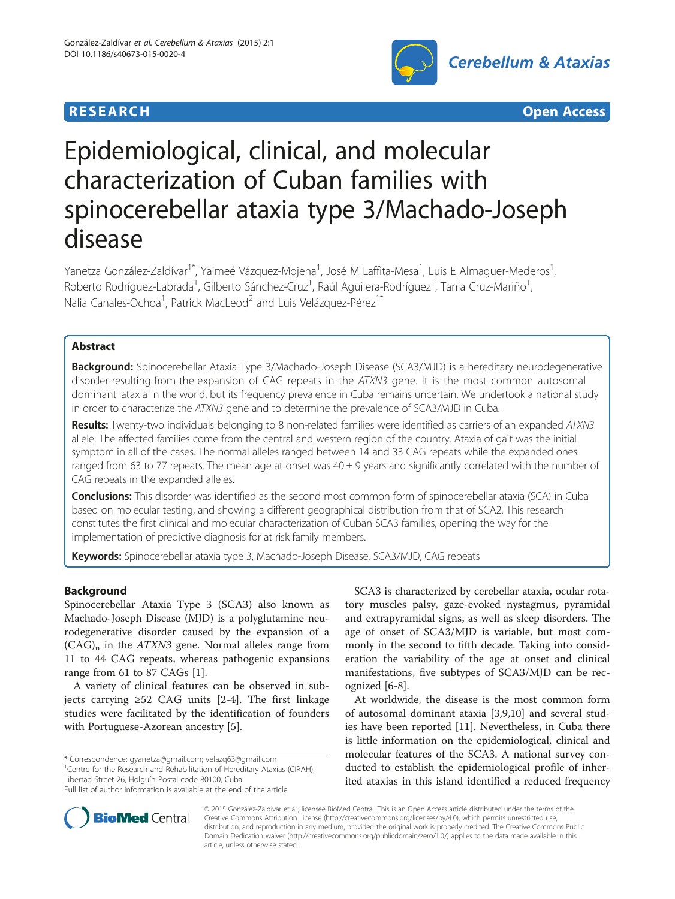





# Epidemiological, clinical, and molecular characterization of Cuban families with spinocerebellar ataxia type 3/Machado-Joseph disease

Yanetza González-Zaldívar<sup>1\*</sup>, Yaimeé Vázquez-Mojena<sup>1</sup>, José M Laffita-Mesa<sup>1</sup>, Luis E Almaguer-Mederos<sup>1</sup> , Roberto Rodríguez-Labrada<sup>1</sup>, Gilberto Sánchez-Cruz<sup>1</sup>, Raúl Aguilera-Rodríguez<sup>1</sup>, Tania Cruz-Mariño<sup>1</sup> , Nalia Canales-Ochoa<sup>1</sup>, Patrick MacLeod<sup>2</sup> and Luis Velázquez-Pérez<sup>1\*</sup>

# Abstract

Background: Spinocerebellar Ataxia Type 3/Machado-Joseph Disease (SCA3/MJD) is a hereditary neurodegenerative disorder resulting from the expansion of CAG repeats in the ATXN3 gene. It is the most common autosomal dominant ataxia in the world, but its frequency prevalence in Cuba remains uncertain. We undertook a national study in order to characterize the ATXN3 gene and to determine the prevalence of SCA3/MJD in Cuba.

Results: Twenty-two individuals belonging to 8 non-related families were identified as carriers of an expanded ATXN3 allele. The affected families come from the central and western region of the country. Ataxia of gait was the initial symptom in all of the cases. The normal alleles ranged between 14 and 33 CAG repeats while the expanded ones ranged from 63 to 77 repeats. The mean age at onset was  $40 \pm 9$  years and significantly correlated with the number of CAG repeats in the expanded alleles.

Conclusions: This disorder was identified as the second most common form of spinocerebellar ataxia (SCA) in Cuba based on molecular testing, and showing a different geographical distribution from that of SCA2. This research constitutes the first clinical and molecular characterization of Cuban SCA3 families, opening the way for the implementation of predictive diagnosis for at risk family members.

Keywords: Spinocerebellar ataxia type 3, Machado-Joseph Disease, SCA3/MJD, CAG repeats

# Background

Spinocerebellar Ataxia Type 3 (SCA3) also known as Machado-Joseph Disease (MJD) is a polyglutamine neurodegenerative disorder caused by the expansion of a  $(CAG)$ <sub>n</sub> in the *ATXN3* gene. Normal alleles range from 11 to 44 CAG repeats, whereas pathogenic expansions range from 61 to 87 CAGs [[1\]](#page-5-0).

A variety of clinical features can be observed in subjects carrying ≥52 CAG units [[2-4](#page-5-0)]. The first linkage studies were facilitated by the identification of founders with Portuguese-Azorean ancestry [[5](#page-5-0)].

\* Correspondence: [gyanetza@gmail.com](mailto:gyanetza@gmail.com); [velazq63@gmail.com](mailto:velazq63@gmail.com) <sup>1</sup> <sup>1</sup> Centre for the Research and Rehabilitation of Hereditary Ataxias (CIRAH),

Libertad Street 26, Holguín Postal code 80100, Cuba

SCA3 is characterized by cerebellar ataxia, ocular rotatory muscles palsy, gaze-evoked nystagmus, pyramidal and extrapyramidal signs, as well as sleep disorders. The age of onset of SCA3/MJD is variable, but most commonly in the second to fifth decade. Taking into consideration the variability of the age at onset and clinical manifestations, five subtypes of SCA3/MJD can be recognized [[6-8\]](#page-5-0).

At worldwide, the disease is the most common form of autosomal dominant ataxia [\[3,9,10](#page-5-0)] and several studies have been reported [[11\]](#page-5-0). Nevertheless, in Cuba there is little information on the epidemiological, clinical and molecular features of the SCA3. A national survey conducted to establish the epidemiological profile of inherited ataxias in this island identified a reduced frequency



© 2015 González-Zaldivar et al.; licensee BioMed Central. This is an Open Access article distributed under the terms of the Creative Commons Attribution License (<http://creativecommons.org/licenses/by/4.0>), which permits unrestricted use, distribution, and reproduction in any medium, provided the original work is properly credited. The Creative Commons Public Domain Dedication waiver [\(http://creativecommons.org/publicdomain/zero/1.0/\)](http://creativecommons.org/publicdomain/zero/1.0/) applies to the data made available in this article, unless otherwise stated.

Full list of author information is available at the end of the article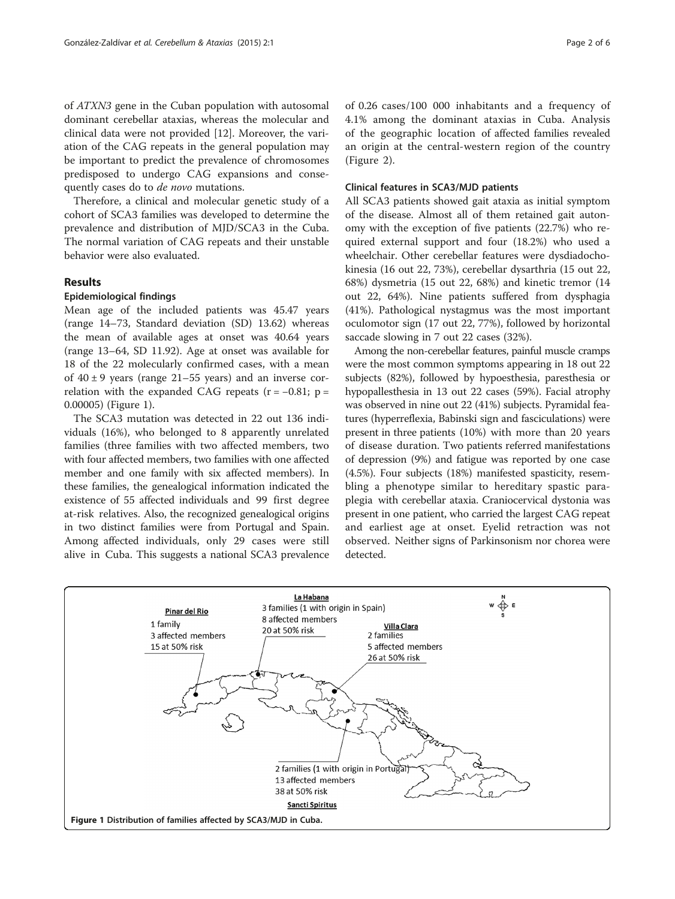of ATXN3 gene in the Cuban population with autosomal dominant cerebellar ataxias, whereas the molecular and clinical data were not provided [[12\]](#page-5-0). Moreover, the variation of the CAG repeats in the general population may be important to predict the prevalence of chromosomes predisposed to undergo CAG expansions and consequently cases do to de novo mutations.

Therefore, a clinical and molecular genetic study of a cohort of SCA3 families was developed to determine the prevalence and distribution of MJD/SCA3 in the Cuba. The normal variation of CAG repeats and their unstable behavior were also evaluated.

# Results

#### Epidemiological findings

Mean age of the included patients was 45.47 years (range 14–73, Standard deviation (SD) 13.62) whereas the mean of available ages at onset was 40.64 years (range 13–64, SD 11.92). Age at onset was available for 18 of the 22 molecularly confirmed cases, with a mean of  $40 \pm 9$  years (range 21–55 years) and an inverse correlation with the expanded CAG repeats  $(r = -0.81; p =$ 0.00005) (Figure 1).

The SCA3 mutation was detected in 22 out 136 individuals (16%), who belonged to 8 apparently unrelated families (three families with two affected members, two with four affected members, two families with one affected member and one family with six affected members). In these families, the genealogical information indicated the existence of 55 affected individuals and 99 first degree at-risk relatives. Also, the recognized genealogical origins in two distinct families were from Portugal and Spain. Among affected individuals, only 29 cases were still alive in Cuba. This suggests a national SCA3 prevalence of 0.26 cases/100 000 inhabitants and a frequency of 4.1% among the dominant ataxias in Cuba. Analysis of the geographic location of affected families revealed an origin at the central-western region of the country (Figure [2](#page-2-0)).

# Clinical features in SCA3/MJD patients

All SCA3 patients showed gait ataxia as initial symptom of the disease. Almost all of them retained gait autonomy with the exception of five patients (22.7%) who required external support and four (18.2%) who used a wheelchair. Other cerebellar features were dysdiadochokinesia (16 out 22, 73%), cerebellar dysarthria (15 out 22, 68%) dysmetria (15 out 22, 68%) and kinetic tremor (14 out 22, 64%). Nine patients suffered from dysphagia (41%). Pathological nystagmus was the most important oculomotor sign (17 out 22, 77%), followed by horizontal saccade slowing in 7 out 22 cases (32%).

Among the non-cerebellar features, painful muscle cramps were the most common symptoms appearing in 18 out 22 subjects (82%), followed by hypoesthesia, paresthesia or hypopallesthesia in 13 out 22 cases (59%). Facial atrophy was observed in nine out 22 (41%) subjects. Pyramidal features (hyperreflexia, Babinski sign and fasciculations) were present in three patients (10%) with more than 20 years of disease duration. Two patients referred manifestations of depression (9%) and fatigue was reported by one case (4.5%). Four subjects (18%) manifested spasticity, resembling a phenotype similar to hereditary spastic paraplegia with cerebellar ataxia. Craniocervical dystonia was present in one patient, who carried the largest CAG repeat and earliest age at onset. Eyelid retraction was not observed. Neither signs of Parkinsonism nor chorea were detected.

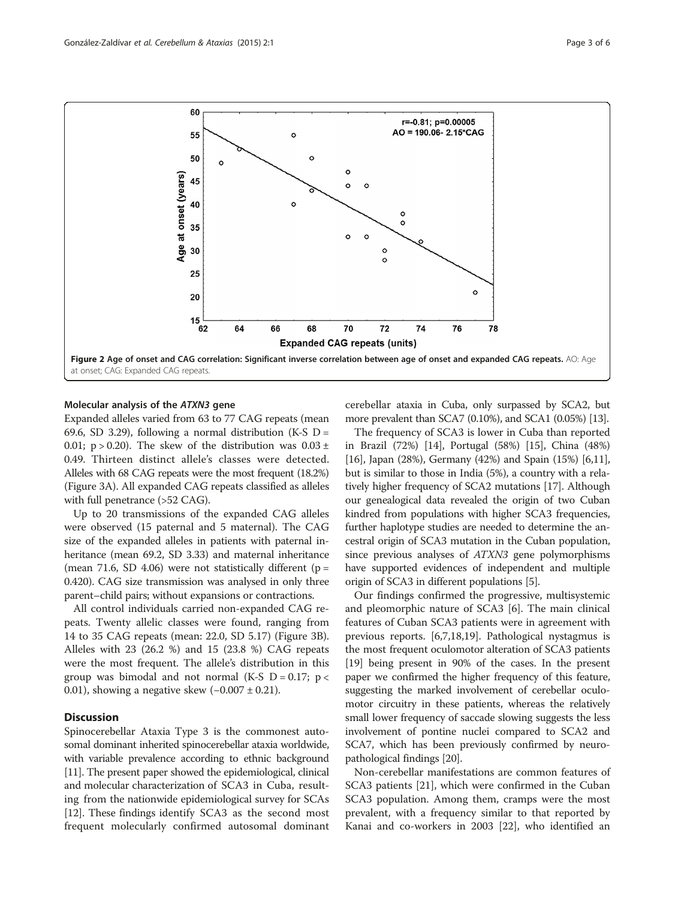<span id="page-2-0"></span>

#### Molecular analysis of the ATXN3 gene

Expanded alleles varied from 63 to 77 CAG repeats (mean 69.6, SD 3.29), following a normal distribution (K-S  $D =$ 0.01; p > 0.20). The skew of the distribution was  $0.03 \pm 1$ 0.49. Thirteen distinct allele's classes were detected. Alleles with 68 CAG repeats were the most frequent (18.2%) (Figure [3](#page-3-0)A). All expanded CAG repeats classified as alleles with full penetrance (>52 CAG).

Up to 20 transmissions of the expanded CAG alleles were observed (15 paternal and 5 maternal). The CAG size of the expanded alleles in patients with paternal inheritance (mean 69.2, SD 3.33) and maternal inheritance (mean 71.6, SD 4.06) were not statistically different ( $p =$ 0.420). CAG size transmission was analysed in only three parent–child pairs; without expansions or contractions.

All control individuals carried non-expanded CAG repeats. Twenty allelic classes were found, ranging from 14 to 35 CAG repeats (mean: 22.0, SD 5.17) (Figure [3](#page-3-0)B). Alleles with 23 (26.2 %) and 15 (23.8 %) CAG repeats were the most frequent. The allele's distribution in this group was bimodal and not normal (K-S  $D = 0.17$ ; p < 0.01), showing a negative skew  $(-0.007 \pm 0.21)$ .

# **Discussion**

Spinocerebellar Ataxia Type 3 is the commonest autosomal dominant inherited spinocerebellar ataxia worldwide, with variable prevalence according to ethnic background [[11](#page-5-0)]. The present paper showed the epidemiological, clinical and molecular characterization of SCA3 in Cuba, resulting from the nationwide epidemiological survey for SCAs [[12](#page-5-0)]. These findings identify SCA3 as the second most frequent molecularly confirmed autosomal dominant cerebellar ataxia in Cuba, only surpassed by SCA2, but more prevalent than SCA7 (0.10%), and SCA1 (0.05%) [\[13](#page-5-0)].

The frequency of SCA3 is lower in Cuba than reported in Brazil (72%) [[14](#page-5-0)], Portugal (58%) [\[15\]](#page-5-0), China (48%) [[16](#page-5-0)], Japan (28%), Germany (42%) and Spain (15%) [[6,11](#page-5-0)], but is similar to those in India (5%), a country with a relatively higher frequency of SCA2 mutations [\[17\]](#page-5-0). Although our genealogical data revealed the origin of two Cuban kindred from populations with higher SCA3 frequencies, further haplotype studies are needed to determine the ancestral origin of SCA3 mutation in the Cuban population, since previous analyses of ATXN3 gene polymorphisms have supported evidences of independent and multiple origin of SCA3 in different populations [[5\]](#page-5-0).

Our findings confirmed the progressive, multisystemic and pleomorphic nature of SCA3 [[6](#page-5-0)]. The main clinical features of Cuban SCA3 patients were in agreement with previous reports. [[6](#page-5-0),[7](#page-5-0),[18](#page-5-0),[19](#page-5-0)]. Pathological nystagmus is the most frequent oculomotor alteration of SCA3 patients [[19](#page-5-0)] being present in 90% of the cases. In the present paper we confirmed the higher frequency of this feature, suggesting the marked involvement of cerebellar oculomotor circuitry in these patients, whereas the relatively small lower frequency of saccade slowing suggests the less involvement of pontine nuclei compared to SCA2 and SCA7, which has been previously confirmed by neuropathological findings [\[20\]](#page-5-0).

Non-cerebellar manifestations are common features of SCA3 patients [\[21](#page-5-0)], which were confirmed in the Cuban SCA3 population. Among them, cramps were the most prevalent, with a frequency similar to that reported by Kanai and co-workers in 2003 [[22](#page-5-0)], who identified an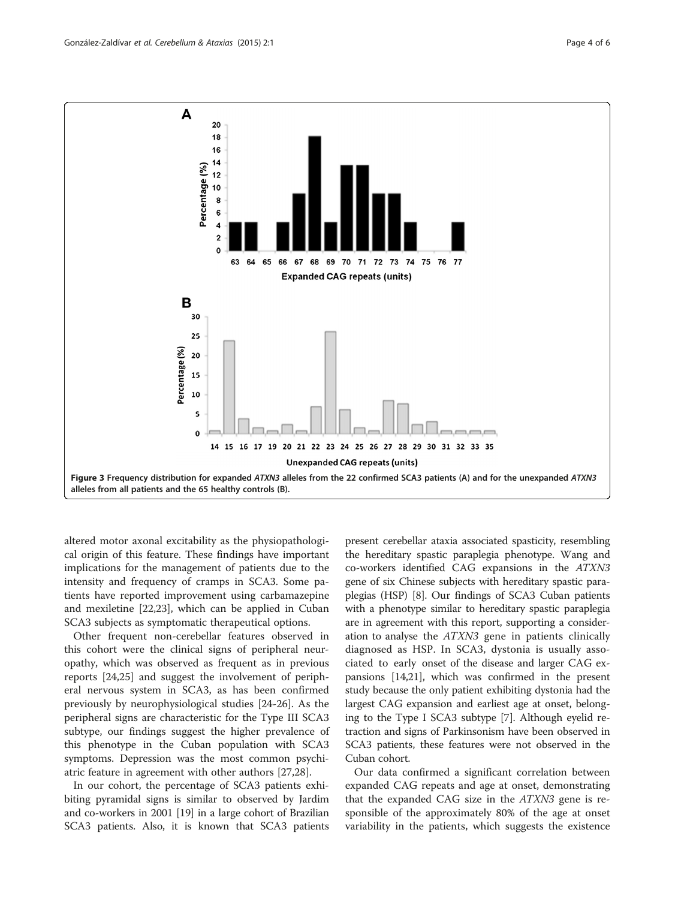<span id="page-3-0"></span>

altered motor axonal excitability as the physiopathological origin of this feature. These findings have important implications for the management of patients due to the intensity and frequency of cramps in SCA3. Some patients have reported improvement using carbamazepine and mexiletine [[22,23\]](#page-5-0), which can be applied in Cuban SCA3 subjects as symptomatic therapeutical options.

Other frequent non-cerebellar features observed in this cohort were the clinical signs of peripheral neuropathy, which was observed as frequent as in previous reports [\[24,25](#page-5-0)] and suggest the involvement of peripheral nervous system in SCA3, as has been confirmed previously by neurophysiological studies [[24-26\]](#page-5-0). As the peripheral signs are characteristic for the Type III SCA3 subtype, our findings suggest the higher prevalence of this phenotype in the Cuban population with SCA3 symptoms. Depression was the most common psychiatric feature in agreement with other authors [[27,28\]](#page-5-0).

In our cohort, the percentage of SCA3 patients exhibiting pyramidal signs is similar to observed by Jardim and co-workers in 2001 [[19](#page-5-0)] in a large cohort of Brazilian SCA3 patients. Also, it is known that SCA3 patients

present cerebellar ataxia associated spasticity, resembling the hereditary spastic paraplegia phenotype. Wang and co-workers identified CAG expansions in the ATXN3 gene of six Chinese subjects with hereditary spastic paraplegias (HSP) [\[8\]](#page-5-0). Our findings of SCA3 Cuban patients with a phenotype similar to hereditary spastic paraplegia are in agreement with this report, supporting a consideration to analyse the ATXN3 gene in patients clinically diagnosed as HSP. In SCA3, dystonia is usually associated to early onset of the disease and larger CAG expansions [\[14,21\]](#page-5-0), which was confirmed in the present study because the only patient exhibiting dystonia had the largest CAG expansion and earliest age at onset, belonging to the Type I SCA3 subtype [[7\]](#page-5-0). Although eyelid retraction and signs of Parkinsonism have been observed in SCA3 patients, these features were not observed in the Cuban cohort.

Our data confirmed a significant correlation between expanded CAG repeats and age at onset, demonstrating that the expanded CAG size in the  $ATX$ N3 gene is responsible of the approximately 80% of the age at onset variability in the patients, which suggests the existence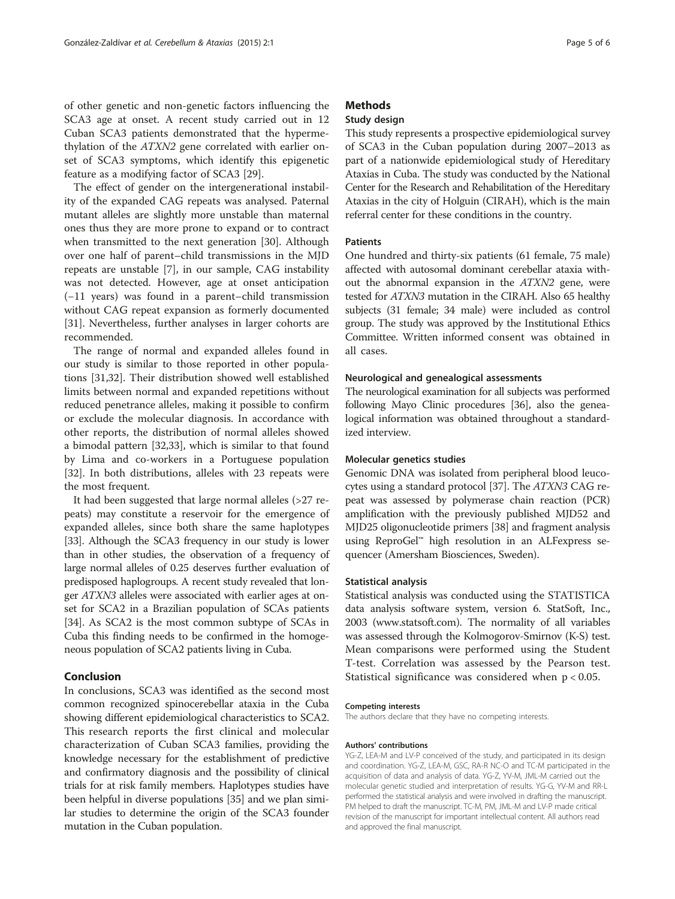of other genetic and non-genetic factors influencing the SCA3 age at onset. A recent study carried out in 12 Cuban SCA3 patients demonstrated that the hypermethylation of the ATXN2 gene correlated with earlier onset of SCA3 symptoms, which identify this epigenetic feature as a modifying factor of SCA3 [[29\]](#page-5-0).

The effect of gender on the intergenerational instability of the expanded CAG repeats was analysed. Paternal mutant alleles are slightly more unstable than maternal ones thus they are more prone to expand or to contract when transmitted to the next generation [\[30](#page-5-0)]. Although over one half of parent–child transmissions in the MJD repeats are unstable [\[7](#page-5-0)], in our sample, CAG instability was not detected. However, age at onset anticipation (−11 years) was found in a parent–child transmission without CAG repeat expansion as formerly documented [[31\]](#page-5-0). Nevertheless, further analyses in larger cohorts are recommended.

The range of normal and expanded alleles found in our study is similar to those reported in other populations [[31,32](#page-5-0)]. Their distribution showed well established limits between normal and expanded repetitions without reduced penetrance alleles, making it possible to confirm or exclude the molecular diagnosis. In accordance with other reports, the distribution of normal alleles showed a bimodal pattern [[32,33\]](#page-5-0), which is similar to that found by Lima and co-workers in a Portuguese population [[32\]](#page-5-0). In both distributions, alleles with 23 repeats were the most frequent.

It had been suggested that large normal alleles (>27 repeats) may constitute a reservoir for the emergence of expanded alleles, since both share the same haplotypes [[33](#page-5-0)]. Although the SCA3 frequency in our study is lower than in other studies, the observation of a frequency of large normal alleles of 0.25 deserves further evaluation of predisposed haplogroups. A recent study revealed that longer ATXN3 alleles were associated with earlier ages at onset for SCA2 in a Brazilian population of SCAs patients [[34](#page-5-0)]. As SCA2 is the most common subtype of SCAs in Cuba this finding needs to be confirmed in the homogeneous population of SCA2 patients living in Cuba.

# Conclusion

In conclusions, SCA3 was identified as the second most common recognized spinocerebellar ataxia in the Cuba showing different epidemiological characteristics to SCA2. This research reports the first clinical and molecular characterization of Cuban SCA3 families, providing the knowledge necessary for the establishment of predictive and confirmatory diagnosis and the possibility of clinical trials for at risk family members. Haplotypes studies have been helpful in diverse populations [\[35\]](#page-5-0) and we plan similar studies to determine the origin of the SCA3 founder mutation in the Cuban population.

# **Methods**

# Study design

This study represents a prospective epidemiological survey of SCA3 in the Cuban population during 2007–2013 as part of a nationwide epidemiological study of Hereditary Ataxias in Cuba. The study was conducted by the National Center for the Research and Rehabilitation of the Hereditary Ataxias in the city of Holguin (CIRAH), which is the main referral center for these conditions in the country.

#### Patients

One hundred and thirty-six patients (61 female, 75 male) affected with autosomal dominant cerebellar ataxia without the abnormal expansion in the ATXN2 gene, were tested for ATXN3 mutation in the CIRAH. Also 65 healthy subjects (31 female; 34 male) were included as control group. The study was approved by the Institutional Ethics Committee. Written informed consent was obtained in all cases.

## Neurological and genealogical assessments

The neurological examination for all subjects was performed following Mayo Clinic procedures [[36](#page-5-0)], also the genealogical information was obtained throughout a standardized interview.

#### Molecular genetics studies

Genomic DNA was isolated from peripheral blood leucocytes using a standard protocol [[37](#page-5-0)]. The ATXN3 CAG repeat was assessed by polymerase chain reaction (PCR) amplification with the previously published MJD52 and MJD25 oligonucleotide primers [\[38](#page-5-0)] and fragment analysis using ReproGel™ high resolution in an ALFexpress sequencer (Amersham Biosciences, Sweden).

# Statistical analysis

Statistical analysis was conducted using the STATISTICA data analysis software system, version 6. StatSoft, Inc., 2003 [\(www.statsoft.com\)](http://www.statsoft.com). The normality of all variables was assessed through the Kolmogorov-Smirnov (K-S) test. Mean comparisons were performed using the Student T-test. Correlation was assessed by the Pearson test. Statistical significance was considered when p < 0.05.

#### Competing interests

The authors declare that they have no competing interests.

#### Authors' contributions

YG-Z, LEA-M and LV-P conceived of the study, and participated in its design and coordination. YG-Z, LEA-M, GSC, RA-R NC-O and TC-M participated in the acquisition of data and analysis of data. YG-Z, YV-M, JML-M carried out the molecular genetic studied and interpretation of results. YG-G, YV-M and RR-L performed the statistical analysis and were involved in drafting the manuscript. PM helped to draft the manuscript. TC-M, PM, JML-M and LV-P made critical revision of the manuscript for important intellectual content. All authors read and approved the final manuscript.